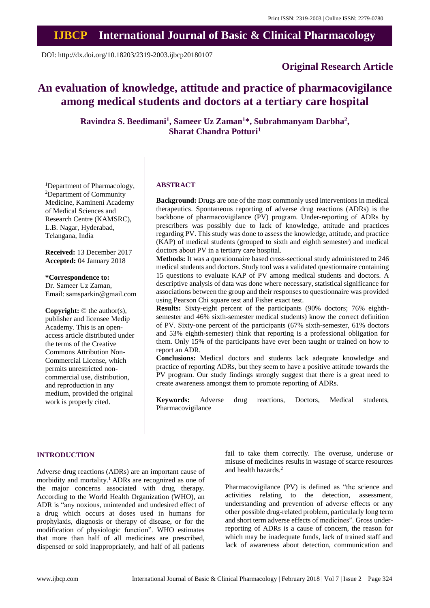# **IJBCP International Journal of Basic & Clinical Pharmacology**

DOI: http://dx.doi.org/10.18203/2319-2003.ijbcp20180107

# **Original Research Article**

# **An evaluation of knowledge, attitude and practice of pharmacovigilance among medical students and doctors at a tertiary care hospital**

**Ravindra S. Beedimani<sup>1</sup> , Sameer Uz Zaman<sup>1</sup>\*, Subrahmanyam Darbha<sup>2</sup> , Sharat Chandra Potturi<sup>1</sup>**

<sup>1</sup>Department of Pharmacology, <sup>2</sup>Department of Community Medicine, Kamineni Academy of Medical Sciences and Research Centre (KAMSRC), L.B. Nagar, Hyderabad, Telangana, India

**Received:** 13 December 2017 **Accepted:** 04 January 2018

**\*Correspondence to:** Dr. Sameer Uz Zaman, Email: samsparkin@gmail.com

**Copyright:** © the author(s), publisher and licensee Medip Academy. This is an openaccess article distributed under the terms of the Creative Commons Attribution Non-Commercial License, which permits unrestricted noncommercial use, distribution, and reproduction in any medium, provided the original work is properly cited.

#### **ABSTRACT**

**Background:** Drugs are one of the most commonly used interventions in medical therapeutics. Spontaneous reporting of adverse drug reactions (ADRs) is the backbone of pharmacovigilance (PV) program. Under-reporting of ADRs by prescribers was possibly due to lack of knowledge, attitude and practices regarding PV. This study was done to assess the knowledge, attitude, and practice (KAP) of medical students (grouped to sixth and eighth semester) and medical doctors about PV in a tertiary care hospital.

**Methods:** It was a questionnaire based cross-sectional study administered to 246 medical students and doctors. Study tool was a validated questionnaire containing 15 questions to evaluate KAP of PV among medical students and doctors. A descriptive analysis of data was done where necessary, statistical significance for associations between the group and their responses to questionnaire was provided using Pearson Chi square test and Fisher exact test.

**Results:** Sixty-eight percent of the participants (90% doctors; 76% eighthsemester and 46% sixth-semester medical students) know the correct definition of PV. Sixty-one percent of the participants (67% sixth-semester, 61% doctors and 53% eighth-semester) think that reporting is a professional obligation for them. Only 15% of the participants have ever been taught or trained on how to report an ADR.

**Conclusions:** Medical doctors and students lack adequate knowledge and practice of reporting ADRs, but they seem to have a positive attitude towards the PV program. Our study findings strongly suggest that there is a great need to create awareness amongst them to promote reporting of ADRs.

**Keywords:** Adverse drug reactions, Doctors, Medical students, Pharmacovigilance

#### **INTRODUCTION**

Adverse drug reactions (ADRs) are an important cause of morbidity and mortality.<sup>1</sup> ADRs are recognized as one of the major concerns associated with drug therapy. According to the World Health Organization (WHO), an ADR is "any noxious, unintended and undesired effect of a drug which occurs at doses used in humans for prophylaxis, diagnosis or therapy of disease, or for the modification of physiologic function". WHO estimates that more than half of all medicines are prescribed, dispensed or sold inappropriately, and half of all patients fail to take them correctly. The overuse, underuse or misuse of medicines results in wastage of scarce resources and health hazards.<sup>2</sup>

Pharmacovigilance (PV) is defined as "the science and activities relating to the detection, assessment, understanding and prevention of adverse effects or any other possible drug-related problem, particularly long term and short term adverse effects of medicines". Gross underreporting of ADRs is a cause of concern, the reason for which may be inadequate funds, lack of trained staff and lack of awareness about detection, communication and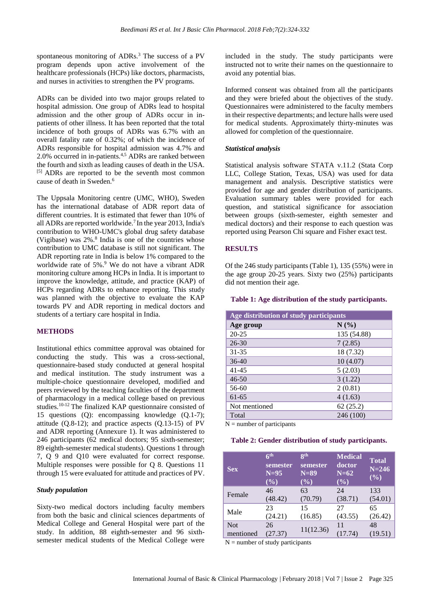spontaneous monitoring of ADRs.<sup>3</sup> The success of a PV program depends upon active involvement of the healthcare professionals (HCPs) like doctors, pharmacists, and nurses in activities to strengthen the PV programs.

ADRs can be divided into two major groups related to hospital admission. One group of ADRs lead to hospital admission and the other group of ADRs occur in inpatients of other illness. It has been reported that the total incidence of both groups of ADRs was 6.7% with an overall fatality rate of 0.32%; of which the incidence of ADRs responsible for hospital admission was 4.7% and 2.0% occurred in in-patients.<sup>4,5</sup> ADRs are ranked between the fourth and sixth as leading causes of death in the USA. [5] ADRs are reported to be the seventh most common cause of death in Sweden.<sup>6</sup>

The Uppsala Monitoring centre (UMC, WHO), Sweden has the international database of ADR report data of different countries. It is estimated that fewer than 10% of all ADRs are reported worldwide.<sup>7</sup> In the year 2013, India's contribution to WHO-UMC's global drug safety database (Vigibase) was  $2\%$ .<sup>8</sup> India is one of the countries whose contribution to UMC database is still not significant. The ADR reporting rate in India is below 1% compared to the worldwide rate of 5%.<sup>9</sup> We do not have a vibrant ADR monitoring culture among HCPs in India. It is important to improve the knowledge, attitude, and practice (KAP) of HCPs regarding ADRs to enhance reporting. This study was planned with the objective to evaluate the KAP towards PV and ADR reporting in medical doctors and students of a tertiary care hospital in India.

## **METHODS**

Institutional ethics committee approval was obtained for conducting the study. This was a cross-sectional, questionnaire-based study conducted at general hospital and medical institution. The study instrument was a multiple-choice questionnaire developed, modified and peers reviewed by the teaching faculties of the department of pharmacology in a medical college based on previous studies.10-12 The finalized KAP questionnaire consisted of 15 questions (Q): encompassing knowledge (Q.1-7); attitude  $(0.8-12)$ ; and practice aspects  $(0.13-15)$  of PV and ADR reporting (Annexure 1). It was administered to 246 participants (62 medical doctors; 95 sixth-semester; 89 eighth-semester medical students). Questions 1 through 7, Q 9 and Q10 were evaluated for correct response. Multiple responses were possible for Q 8. Questions 11 through 15 were evaluated for attitude and practices of PV.

#### *Study population*

Sixty-two medical doctors including faculty members from both the basic and clinical sciences departments of Medical College and General Hospital were part of the study. In addition, 88 eighth-semester and 96 sixthsemester medical students of the Medical College were included in the study. The study participants were instructed not to write their names on the questionnaire to avoid any potential bias.

Informed consent was obtained from all the participants and they were briefed about the objectives of the study. Questionnaires were administered to the faculty members in their respective departments; and lecture halls were used for medical students. Approximately thirty-minutes was allowed for completion of the questionnaire.

#### *Statistical analysis*

Statistical analysis software STATA v.11.2 (Stata Corp LLC, College Station, Texas, USA) was used for data management and analysis. Descriptive statistics were provided for age and gender distribution of participants. Evaluation summary tables were provided for each question, and statistical significance for association between groups (sixth-semester, eighth semester and medical doctors) and their response to each question was reported using Pearson Chi square and Fisher exact test.

#### **RESULTS**

Of the 246 study participants (Table 1), 135 (55%) were in the age group 20-25 years. Sixty two (25%) participants did not mention their age.

#### **Table 1: Age distribution of the study participants.**

| Age distribution of study participants |             |  |  |
|----------------------------------------|-------------|--|--|
| Age group                              | N(%)        |  |  |
| $20 - 25$                              | 135 (54.88) |  |  |
| $26 - 30$                              | 7(2.85)     |  |  |
| $31 - 35$                              | 18 (7.32)   |  |  |
| $36-40$                                | 10(4.07)    |  |  |
| $41 - 45$                              | 5(2.03)     |  |  |
| $46 - 50$                              | 3(1.22)     |  |  |
| 56-60                                  | 2(0.81)     |  |  |
| $61-65$                                | 4(1.63)     |  |  |
| Not mentioned                          | 62(25.2)    |  |  |
| Total                                  | 246 (100)   |  |  |

 $N =$  number of participants

#### **Table 2: Gender distribution of study participants.**

| <b>Sex</b> | 6 <sup>th</sup><br>semester<br>$N=95$<br>$(\%)$ | <b>Qth</b><br>semester<br>$N=89$<br>$(\%)$ | <b>Medical</b><br>doctor<br>$N=62$<br>$(\%)$ | <b>Total</b><br>$N = 246$<br>(%) |
|------------|-------------------------------------------------|--------------------------------------------|----------------------------------------------|----------------------------------|
| Female     | 46                                              | 63                                         | 24                                           | 133                              |
|            | (48.42)                                         | (70.79)                                    | (38.71)                                      | (54.01)                          |
| Male       | 23                                              | 15                                         | 27                                           | 65                               |
|            | (24.21)                                         | (16.85)                                    | (43.55)                                      | (26.42)                          |
| <b>Not</b> | 26                                              | 11(12.36)                                  | 11                                           | 48                               |
| mentioned  | (27.37)                                         |                                            | (17.74)                                      | (19.51)                          |

 $N =$  number of study participants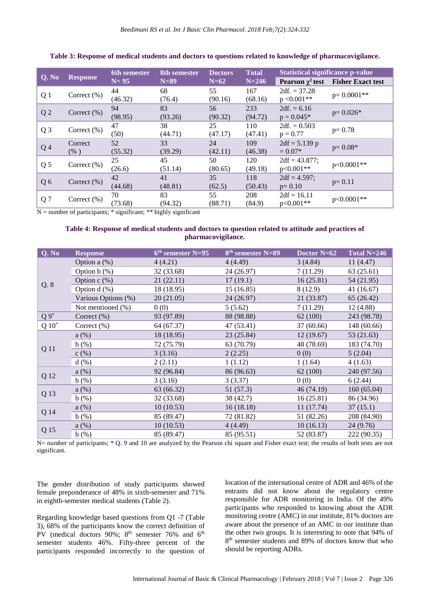| Q. No          | <b>Response</b>    | <b>6th semester</b> | 8th semester  | <b>Doctors</b> | <b>Total</b>   | <b>Statistical significance p-value</b> |                          |
|----------------|--------------------|---------------------|---------------|----------------|----------------|-----------------------------------------|--------------------------|
|                |                    | $N=95$              | $N=89$        | $N=62$         | $N = 246$      | Pearson $\chi^2$ test                   | <b>Fisher Exact test</b> |
| Q <sub>1</sub> | Correct $(\%)$     | 44<br>(46.32)       | 68<br>(76.4)  | 55<br>(90.16)  | 167<br>(68.16) | $2df = 37.28$<br>$p < 0.001**$          | $p=0.0001**$             |
| Q <sub>2</sub> | Correct $(\%)$     | 94<br>(98.95)       | 83<br>(93.26) | 56<br>(90.32)  | 233<br>(94.72) | $2df = 6.16$<br>$p = 0.045*$            | $p = 0.026*$             |
| Q <sub>3</sub> | Correct $(\%)$     | 47<br>(50)          | 38<br>(44.71) | 25<br>(47.17)  | 110<br>(47.41) | $2df = 0.503$<br>$p = 0.77$             | $p = 0.78$               |
| Q <sub>4</sub> | Correct<br>$(\% )$ | 52<br>(55.32)       | 33<br>(39.29) | 24<br>(42.11)  | 109<br>(46.38) | $2df = 5.139$ p<br>$= 0.07*$            | $p = 0.08*$              |
| Q <sub>5</sub> | Correct $(\%)$     | 25<br>(26.6)        | 45<br>(51.14) | 50<br>(80.65)  | 120<br>(49.18) | $2df = 43.877$ ;<br>$p<0.001**$         | p<0.0001**               |
| Q6             | Correct $(\% )$    | 42<br>(44.68)       | 41<br>(48.81) | 35<br>(62.5)   | 118<br>(50.43) | $2df = 4.597$ ;<br>$p = 0.10$           | $p=0.11$                 |
| Q <sub>7</sub> | Correct $(\%)$     | 70<br>(73.68)       | 83<br>(94.32) | 55<br>(88.71)  | 208<br>(84.9)  | $2df = 16.11$<br>$p<0.001**$            | p<0.0001**               |

# **Table 3: Response of medical students and doctors to questions related to knowledge of pharmacovigilance.**

 $N =$  number of participants;  $*$  significant;  $**$  highly significant

#### **Table 4: Response of medical students and doctors to question related to attitude and practices of pharmacovigilance.**

| Q. No    | <b>Response</b>     | $6th$ semester N=95 | 8 <sup>th</sup> semester N=89 | Doctor N=62 | Total $N=246$ |
|----------|---------------------|---------------------|-------------------------------|-------------|---------------|
| Q. 8     | Option a $(\%)$     | 4(4.21)             | 4(4.49)                       | 3(4.84)     | 11(4.47)      |
|          | Option $b$ $(\%)$   | 32 (33.68)          | 24 (26.97)                    | 7(11.29)    | 63(25.61)     |
|          | Option $c$ $(\%)$   | 21(22.11)           | 17(19.1)                      | 16(25.81)   | 54 (21.95)    |
|          | Option $d$ $(\%)$   | 18(18.95)           | 15(16.85)                     | 8 (12.9)    | 41(16.67)     |
|          | Various Options (%) | 20(21.05)           | 24 (26.97)                    | 21 (33.87)  | 65(26.42)     |
|          | Not mentioned (%)   | 0(0)                | 5(5.62)                       | 7(11.29)    | 12(4.88)      |
| $Q_9^*$  | Correct (%)         | 93 (97.89)          | 88 (98.88)                    | 62(100)     | 243 (98.78)   |
| $Q 10^*$ | Correct $(\%)$      | 64 (67.37)          | 47 (53.41)                    | 37(60.66)   | 148 (60.66)   |
|          | a(%)                | 18 (18.95)          | 23(25.84)                     | 12(19.67)   | 53 (21.63)    |
|          | b(%)                | 72 (75.79)          | 63 (70.79)                    | 48 (78.69)  | 183 (74.70)   |
| Q 11     | c(%)                | 3(3.16)             | 2(2.25)                       | 0(0)        | 5(2.04)       |
|          | d(%)                | 2(2.11)             | 1(1.12)                       | 1(1.64)     | 4(1.63)       |
| Q 12     | $a\left(\%\right)$  | 92 (96.84)          | 86 (96.63)                    | 62(100)     | 240 (97.56)   |
|          | b(%)                | 3(3.16)             | 3(3.37)                       | 0(0)        | 6(2.44)       |
| Q 13     | $a\left(\%\right)$  | 63 (66.32)          | 51(57.3)                      | 46(74.19)   | 160(65.04)    |
|          | b(%)                | 32 (33.68)          | 38 (42.7)                     | 16(25.81)   | 86 (34.96)    |
| Q 14     | $a\left(\%\right)$  | 10(10.53)           | 16(18.18)                     | 11(17.74)   | 37(15.1)      |
|          | b(%)                | 85 (89.47)          | 72 (81.82)                    | 51 (82.26)  | 208 (84.90)   |
| Q 15     | a(%)                | 10(10.53)           | 4(4.49)                       | 10(16.13)   | 24(9.76)      |
|          | b(%)                | 85 (89.47)          | 85 (95.51)                    | 52 (83.87)  | 222 (90.35)   |

N= number of participants;  $*$  Q. 9 and 10 are analyzed by the Pearson chi square and Fisher exact test; the results of both tests are not significant.

The gender distribution of study participants showed female preponderance of 48% in sixth-semester and 71% in eighth-semester medical students (Table 2).

Regarding knowledge based questions from Q1 -7 (Table 3), 68% of the participants know the correct definition of PV (medical doctors  $90\%$ ;  $8<sup>th</sup>$  semester 76% and  $6<sup>th</sup>$ semester students 46%. Fifty-three percent of the participants responded incorrectly to the question of location of the international centre of ADR and 46% of the entrants did not know about the regulatory centre responsible for ADR monitoring in India. Of the 49% participants who responded to knowing about the ADR monitoring centre (AMC) in our institute, 81% doctors are aware about the presence of an AMC in our institute than the other two groups. It is interesting to note that 94% of 8 th semester students and 89% of doctors know that who should be reporting ADRs.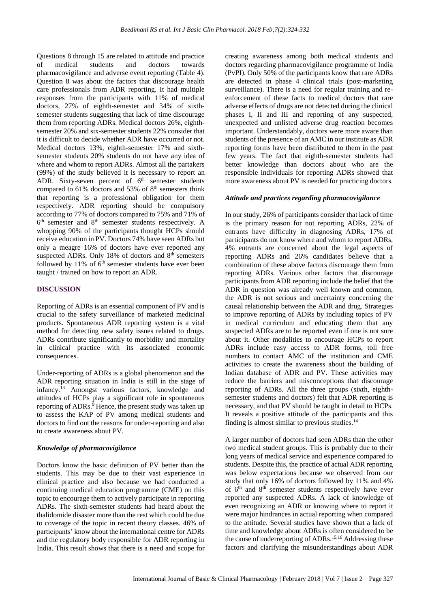Questions 8 through 15 are related to attitude and practice of medical students and doctors towards pharmacovigilance and adverse event reporting (Table 4). Question 8 was about the factors that discourage health care professionals from ADR reporting. It had multiple responses from the participants with 11% of medical doctors, 27% of eighth-semester and 34% of sixthsemester students suggesting that lack of time discourage them from reporting ADRs. Medical doctors 26%, eighthsemester 20% and six-semester students 22% consider that it is difficult to decide whether ADR have occurred or not. Medical doctors 13%, eighth-semester 17% and sixthsemester students 20% students do not have any idea of where and whom to report ADRs. Almost all the partakers (99%) of the study believed it is necessary to report an ADR. Sixty-seven percent of  $6<sup>th</sup>$  semester students compared to 61% doctors and 53% of 8<sup>th</sup> semesters think that reporting is a professional obligation for them respectively. ADR reporting should be compulsory according to 77% of doctors compared to 75% and 71% of 6<sup>th</sup> semester and 8<sup>th</sup> semester students respectively. A whopping 90% of the participants thought HCPs should receive education in PV. Doctors 74% have seen ADRs but only a meagre 16% of doctors have ever reported any suspected ADRs. Only 18% of doctors and 8<sup>th</sup> semesters followed by  $11\%$  of  $6<sup>th</sup>$  semester students have ever been taught / trained on how to report an ADR.

#### **DISCUSSION**

Reporting of ADRs is an essential component of PV and is crucial to the safety surveillance of marketed medicinal products. Spontaneous ADR reporting system is a vital method for detecting new safety issues related to drugs. ADRs contribute significantly to morbidity and mortality in clinical practice with its associated economic consequences.

Under-reporting of ADRs is a global phenomenon and the ADR reporting situation in India is still in the stage of infancy.<sup>13</sup> Amongst various factors, knowledge and attitudes of HCPs play a significant role in spontaneous reporting of ADRs.<sup>9</sup> Hence, the present study was taken up to assess the KAP of PV among medical students and doctors to find out the reasons for under-reporting and also to create awareness about PV.

#### *Knowledge of pharmacovigilance*

Doctors know the basic definition of PV better than the students. This may be due to their vast experience in clinical practice and also because we had conducted a continuing medical education programme (CME) on this topic to encourage them to actively participate in reporting ADRs. The sixth-semester students had heard about the thalidomide disaster more than the rest which could be due to coverage of the topic in recent theory classes. 46% of participants' know about the international centre for ADRs and the regulatory body responsible for ADR reporting in India. This result shows that there is a need and scope for creating awareness among both medical students and doctors regarding pharmacovigilance programme of India (PvPI). Only 50% of the participants know that rare ADRs are detected in phase 4 clinical trials (post-marketing surveillance). There is a need for regular training and reenforcement of these facts to medical doctors that rare adverse effects of drugs are not detected during the clinical phases I, II and III and reporting of any suspected, unexpected and unlisted adverse drug reaction becomes important. Understandably, doctors were more aware than students of the presence of an AMC in our institute as ADR reporting forms have been distributed to them in the past few years. The fact that eighth-semester students had better knowledge than doctors about who are the responsible individuals for reporting ADRs showed that more awareness about PV is needed for practicing doctors.

#### *Attitude and practices regarding pharmacovigilance*

In our study, 26% of participants consider that lack of time is the primary reason for not reporting ADRs, 22% of entrants have difficulty in diagnosing ADRs, 17% of participants do not know where and whom to report ADRs, 4% entrants are concerned about the legal aspects of reporting ADRs and 26% candidates believe that a combination of these above factors discourage them from reporting ADRs. Various other factors that discourage participants from ADR reporting include the belief that the ADR in question was already well known and common, the ADR is not serious and uncertainty concerning the causal relationship between the ADR and drug. Strategies to improve reporting of ADRs by including topics of PV in medical curriculum and educating them that any suspected ADRs are to be reported even if one is not sure about it. Other modalities to encourage HCPs to report ADRs include easy access to ADR forms, toll free numbers to contact AMC of the institution and CME activities to create the awareness about the building of Indian database of ADR and PV. These activities may reduce the barriers and misconceptions that discourage reporting of ADRs. All the three groups (sixth, eighthsemester students and doctors) felt that ADR reporting is necessary, and that PV should be taught in detail to HCPs. It reveals a positive attitude of the participants and this finding is almost similar to previous studies. $14$ 

A larger number of doctors had seen ADRs than the other two medical student groups. This is probably due to their long years of medical service and experience compared to students. Despite this, the practice of actual ADR reporting was below expectations because we observed from our study that only 16% of doctors followed by 11% and 4% of 6<sup>th</sup> and 8<sup>th</sup> semester students respectively have ever reported any suspected ADRs. A lack of knowledge of even recognizing an ADR or knowing where to report it were major hindrances in actual reporting when compared to the attitude. Several studies have shown that a lack of time and knowledge about ADRs is often considered to be the cause of underreporting of ADRs.15,16 Addressing these factors and clarifying the misunderstandings about ADR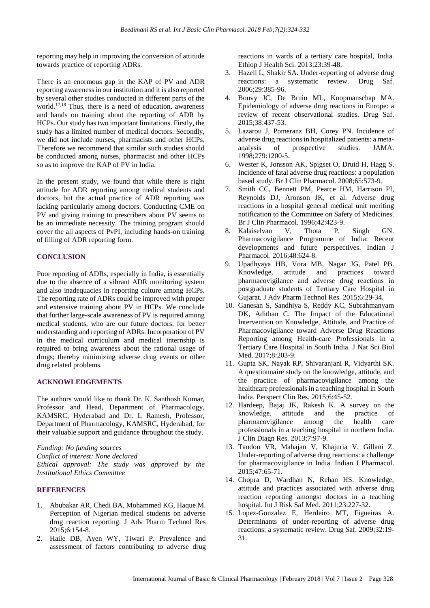reporting may help in improving the conversion of attitude towards practice of reporting ADRs.

There is an enormous gap in the KAP of PV and ADR reporting awarenessin our institution and it is also reported by several other studies conducted in different parts of the world.17,18 Thus, there is a need of education, awareness and hands on training about the reporting of ADR by HCPs. Our study has two important limitations. Firstly, the study has a limited number of medical doctors. Secondly, we did not include nurses, pharmacists and other HCPs. Therefore we recommend that similar such studies should be conducted among nurses, pharmacist and other HCPs so as to improve the KAP of PV in India.

In the present study, we found that while there is right attitude for ADR reporting among medical students and doctors, but the actual practice of ADR reporting was lacking particularly among doctors. Conducting CME on PV and giving training to prescribers about PV seems to be an immediate necessity. The training program should cover the all aspects of PvPI, including hands-on training of filling of ADR reporting form.

# **CONCLUSION**

Poor reporting of ADRs, especially in India, is essentially due to the absence of a vibrant ADR monitoring system and also inadequacies in reporting culture among HCPs. The reporting rate of ADRs could be improved with proper and extensive training about PV in HCPs. We conclude that further large-scale awareness of PV is required among medical students, who are our future doctors, for better understanding and reporting of ADRs. Incorporation of PV in the medical curriculum and medical internship is required to bring awareness about the rational usage of drugs; thereby minimizing adverse drug events or other drug related problems.

# **ACKNOWLEDGEMENTS**

The authors would like to thank Dr. K. Santhosh Kumar, Professor and Head, Department of Pharmacology, KAMSRC, Hyderabad and Dr. L Ramesh, Professor, Department of Pharmacology, KAMSRC, Hyderabad, for their valuable support and guidance throughout the study.

*Funding: No funding sources Conflict of interest: None declared Ethical approval: The study was approved by the Institutional Ethics Committee*

# **REFERENCES**

- 1. Abubakar AR, Chedi BA, Mohammed KG, Haque M. Perception of Nigerian medical students on adverse drug reaction reporting. J Adv Pharm Technol Res 2015;6:154-8.
- 2. Haile DB, Ayen WY, Tiwari P. Prevalence and assessment of factors contributing to adverse drug

reactions in wards of a tertiary care hospital, India. Ethiop J Health Sci. 2013;23:39-48.

- 3. Hazell L, Shakir SA. Under-reporting of adverse drug reactions: a systematic review. Drug Saf. 2006;29:385-96.
- 4. Bouvy JC, De Bruin ML, Koopmanschap MA. Epidemiology of adverse drug reactions in Europe: a review of recent observational studies. Drug Saf. 2015;38:437-53.
- 5. Lazarou J, Pomeranz BH, Corey PN. Incidence of adverse drug reactions in hospitalized patients: a metaanalysis of prospective studies. JAMA. 1998;279:1200-5.
- 6. Wester K, Jonsson AK, Spigset O, Druid H, Hagg S. Incidence of fatal adverse drug reactions: a population based study. Br J Clin Pharmacol. 2008;65:573-9.
- 7. Smith CC, Bennett PM, Pearce HM, Harrison PI, Reynolds DJ, Aronson JK, et al. Adverse drug reactions in a hospital general medical unit meriting notification to the Committee on Safety of Medicines. Br J Clin Pharmacol. 1996;42:423-9.
- 8. Kalaiselvan V, Thota P, Singh GN. Pharmacovigilance Programme of India: Recent developments and future perspectives. Indian J Pharmacol. 2016;48:624-8.
- 9. Upadhyaya HB, Vora MB, Nagar JG, Patel PB. Knowledge, attitude and practices toward pharmacovigilance and adverse drug reactions in postgraduate students of Tertiary Care Hospital in Gujarat. J Adv Pharm Technol Res. 2015;6:29-34.
- 10. Ganesan S, Sandhiya S, Reddy KC, Subrahmanyam DK, Adithan C. The Impact of the Educational Intervention on Knowledge, Attitude, and Practice of Pharmacovigilance toward Adverse Drug Reactions Reporting among Health-care Professionals in a Tertiary Care Hospital in South India. J Nat Sci Biol Med. 2017;8:203-9.
- 11. Gupta SK, Nayak RP, Shivaranjani R, Vidyarthi SK. A questionnaire study on the knowledge, attitude, and the practice of pharmacovigilance among the healthcare professionals in a teaching hospital in South India. Perspect Clin Res. 2015;6:45-52.
- 12. Hardeep, Bajaj JK, Rakesh K. A survey on the knowledge, attitude and the practice of pharmacovigilance among the health care professionals in a teaching hospital in northern India. J Clin Diagn Res. 2013;7:97-9.
- 13. Tandon VR, Mahajan V, Khajuria V, Gillani Z. Under-reporting of adverse drug reactions: a challenge for pharmacovigilance in India. Indian J Pharmacol. 2015;47:65-71.
- 14. Chopra D, Wardhan N, Rehan HS. Knowledge, attitude and practices associated with adverse drug reaction reporting amongst doctors in a teaching hospital. Int J Risk Saf Med. 2011;23:227-32.
- 15. Lopez-Gonzalez E, Herdeiro MT, Figueiras A. Determinants of under-reporting of adverse drug reactions: a systematic review. Drug Saf. 2009;32:19- 31.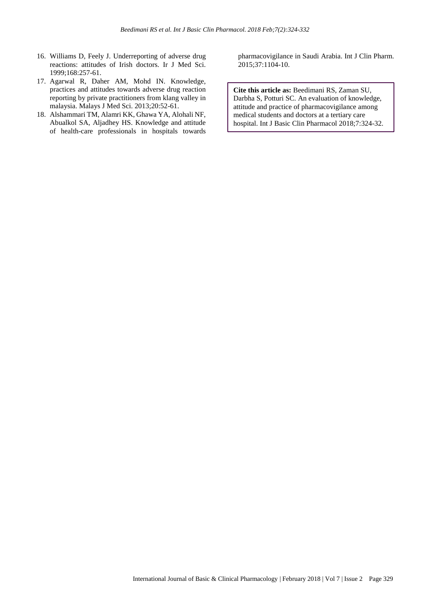- 16. Williams D, Feely J. Underreporting of adverse drug reactions: attitudes of Irish doctors. Ir J Med Sci. 1999;168:257-61.
- 17. Agarwal R, Daher AM, Mohd IN. Knowledge, practices and attitudes towards adverse drug reaction reporting by private practitioners from klang valley in malaysia. Malays J Med Sci. 2013;20:52-61.
- 18. Alshammari TM, Alamri KK, Ghawa YA, Alohali NF, Abualkol SA, Aljadhey HS. Knowledge and attitude of health-care professionals in hospitals towards

pharmacovigilance in Saudi Arabia. Int J Clin Pharm. 2015;37:1104-10.

**Cite this article as:** Beedimani RS, Zaman SU, Darbha S, Potturi SC. An evaluation of knowledge, attitude and practice of pharmacovigilance among medical students and doctors at a tertiary care hospital. Int J Basic Clin Pharmacol 2018;7:324-32.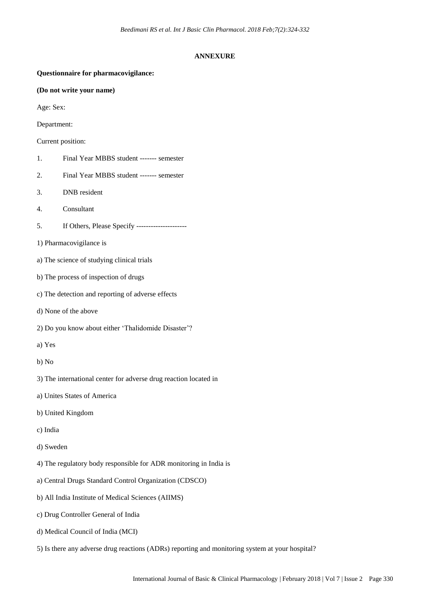#### **ANNEXURE**

# **Questionnaire for pharmacovigilance: (Do not write your name)** Age: Sex: Department: Current position: 1. Final Year MBBS student ------- semester 2. Final Year MBBS student ------- semester 3. DNB resident 4. Consultant 5. If Others, Please Specify --------------------- 1) Pharmacovigilance is a) The science of studying clinical trials b) The process of inspection of drugs c) The detection and reporting of adverse effects d) None of the above 2) Do you know about either 'Thalidomide Disaster'? a) Yes b) No 3) The international center for adverse drug reaction located in a) Unites States of America b) United Kingdom c) India d) Sweden 4) The regulatory body responsible for ADR monitoring in India is a) Central Drugs Standard Control Organization (CDSCO) b) All India Institute of Medical Sciences (AIIMS) c) Drug Controller General of India d) Medical Council of India (MCI)

5) Is there any adverse drug reactions (ADRs) reporting and monitoring system at your hospital?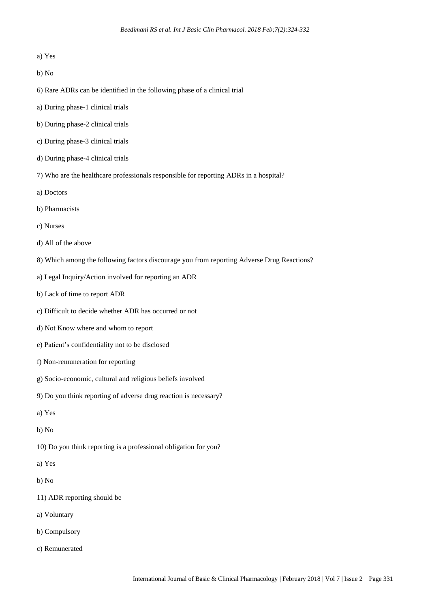- a) Yes
- b) No
- 6) Rare ADRs can be identified in the following phase of a clinical trial
- a) During phase-1 clinical trials
- b) During phase-2 clinical trials
- c) During phase-3 clinical trials
- d) During phase-4 clinical trials
- 7) Who are the healthcare professionals responsible for reporting ADRs in a hospital?
- a) Doctors
- b) Pharmacists
- c) Nurses
- d) All of the above
- 8) Which among the following factors discourage you from reporting Adverse Drug Reactions?
- a) Legal Inquiry/Action involved for reporting an ADR
- b) Lack of time to report ADR
- c) Difficult to decide whether ADR has occurred or not
- d) Not Know where and whom to report
- e) Patient's confidentiality not to be disclosed
- f) Non-remuneration for reporting
- g) Socio-economic, cultural and religious beliefs involved
- 9) Do you think reporting of adverse drug reaction is necessary?
- a) Yes
- b) No
- 10) Do you think reporting is a professional obligation for you?
- a) Yes
- b) No
- 11) ADR reporting should be
- a) Voluntary
- b) Compulsory
- c) Remunerated